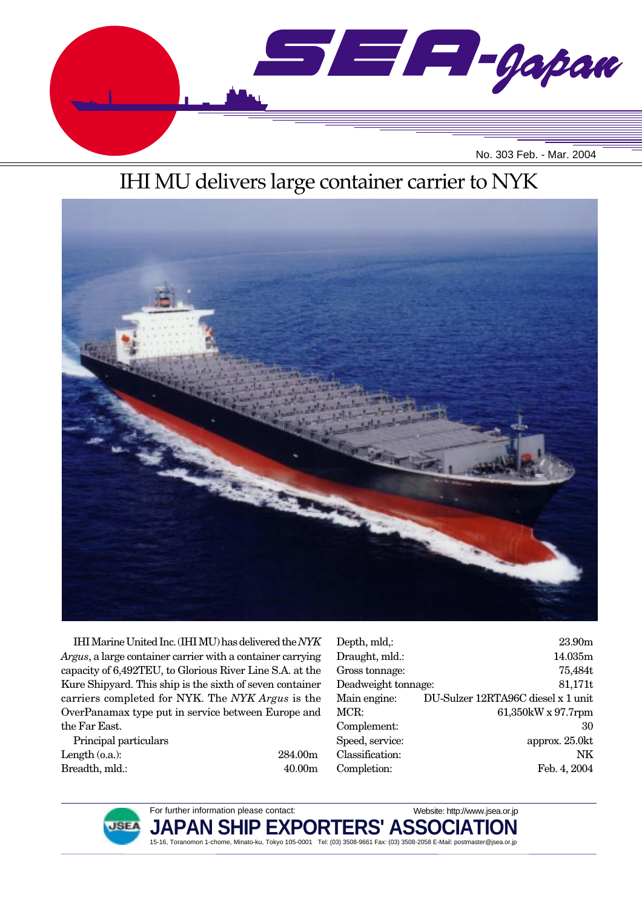

# IHI MU delivers large container carrier to NYK



IHI Marine United Inc. (IHI MU) has delivered the *NYK Argus*, a large container carrier with a container carrying capacity of 6,492TEU, to Glorious River Line S.A. at the Kure Shipyard. This ship is the sixth of seven container carriers completed for NYK. The *NYK Argus* is the OverPanamax type put in service between Europe and the Far East.

Principal particulars Length (o.a.): 284.00m Breadth, mld.: 40.00m

| Depth, mld,:        | 23.90m                             |
|---------------------|------------------------------------|
| Draught, mld.:      | 14.035m                            |
| Gross tonnage:      | 75,484t                            |
| Deadweight tonnage: | 81,171t                            |
| Main engine:        | DU-Sulzer 12RTA96C diesel x 1 unit |
| MCR:                | 61,350kW x 97.7rpm                 |
| Complement:         | 30                                 |
| Speed, service:     | approx. 25.0kt                     |
| Classification:     | NK                                 |
| Completion:         | Feb. 4, 2004                       |
|                     |                                    |



For further information please contact: **JAPAN SHIP EXPORTERS' ASSO** 15-16, Toranomon 1-chome, Minato-ku, Tokyo 105-0001 Tel: (03) 3508-9661 Fax: (03) 3508-2058 E-Mail: postmaster@jsea.or.jp Website: http://www.jsea.or.jp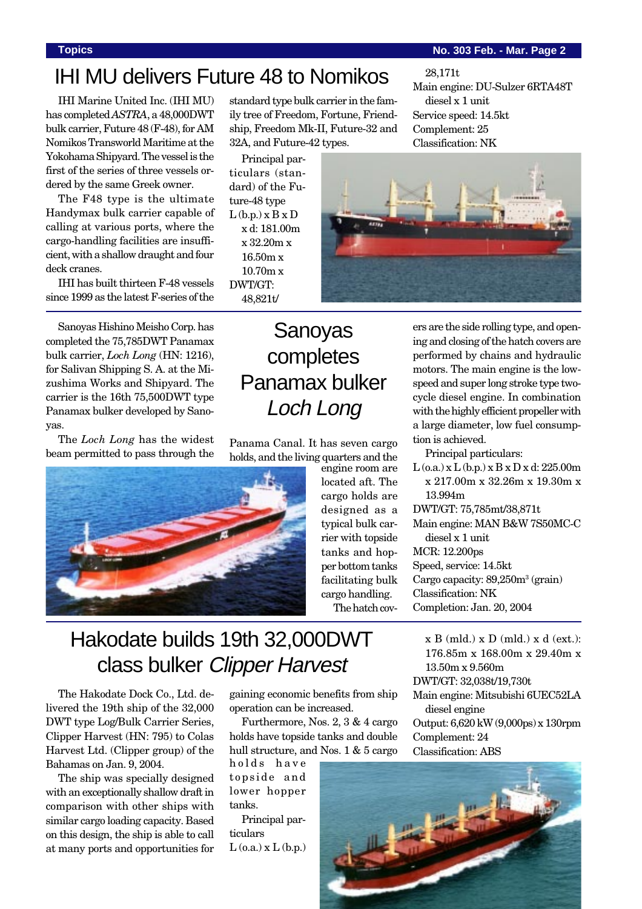### **Topics No. 303 Feb. - Mar. Page 2**

Main engine: DU-Sulzer 6RTA48T

# IHI MU delivers Future 48 to Nomikos

IHI Marine United Inc. (IHI MU) has completed *ASTRA*, a 48,000DWT bulk carrier, Future 48 (F-48), for AM Nomikos Transworld Maritime at the Yokohama Shipyard. The vessel is the first of the series of three vessels ordered by the same Greek owner.

The F48 type is the ultimate Handymax bulk carrier capable of calling at various ports, where the cargo-handling facilities are insufficient, with a shallow draught and four deck cranes.

IHI has built thirteen F-48 vessels since 1999 as the latest F-series of the

Sanoyas Hishino Meisho Corp. has completed the 75,785DWT Panamax bulk carrier, *Loch Long* (HN: 1216), for Salivan Shipping S. A. at the Mizushima Works and Shipyard. The carrier is the 16th 75,500DWT type Panamax bulker developed by Sanoyas.

The *Loch Long* has the widest beam permitted to pass through the



standard type bulk carrier in the family tree of Freedom, Fortune, Friendship, Freedom Mk-II, Future-32 and 32A, and Future-42 types.

Principal particulars (standard) of the Future-48 type  $L(b.p.)$   $x B x D$ x d: 181.00m x 32.20m x 16.50m x 10.70m x DWT/GT: 48,821t/



28,171t

diesel x 1 unit Service speed: 14.5kt Complement: 25 Classification: NK

# Sanoyas completes Panamax bulker Loch Long

Panama Canal. It has seven cargo holds, and the living quarters and the

engine room are located aft. The cargo holds are designed as a typical bulk carrier with topside tanks and hopper bottom tanks facilitating bulk cargo handling. The hatch cov-

ers are the side rolling type, and opening and closing of the hatch covers are performed by chains and hydraulic motors. The main engine is the lowspeed and super long stroke type twocycle diesel engine. In combination with the highly efficient propeller with a large diameter, low fuel consumption is achieved.

Principal particulars:

 $L$  (o.a.) x  $L$  (b.p.) x  $B$  x  $D$  x d: 225.00m x 217.00m x 32.26m x 19.30m x 13.994m DWT/GT: 75,785mt/38,871t Main engine: MAN B&W 7S50MC-C diesel x 1 unit MCR: 12.200ps Speed, service: 14.5kt Cargo capacity: 89,250m<sup>3</sup> (grain) Classification: NK Completion: Jan. 20, 2004

# Hakodate builds 19th 32,000DWT class bulker Clipper Harvest

The Hakodate Dock Co., Ltd. delivered the 19th ship of the 32,000 DWT type Log/Bulk Carrier Series, Clipper Harvest (HN: 795) to Colas Harvest Ltd. (Clipper group) of the Bahamas on Jan. 9, 2004.

The ship was specially designed with an exceptionally shallow draft in comparison with other ships with similar cargo loading capacity. Based on this design, the ship is able to call at many ports and opportunities for gaining economic benefits from ship operation can be increased.

Furthermore, Nos. 2, 3 & 4 cargo holds have topside tanks and double hull structure, and Nos. 1 & 5 cargo

holds have topside and lower hopper tanks.

Principal particulars  $L$  (o.a.)  $x L$  (b.p.)  $x B (mld.) x D (mld.) x d (ext.)$ : 176.85m x 168.00m x 29.40m x 13.50m x 9.560m

DWT/GT: 32,038t/19,730t

Main engine: Mitsubishi 6UEC52LA diesel engine Output: 6,620 kW (9,000ps) x 130rpm Complement: 24

Classification: ABS

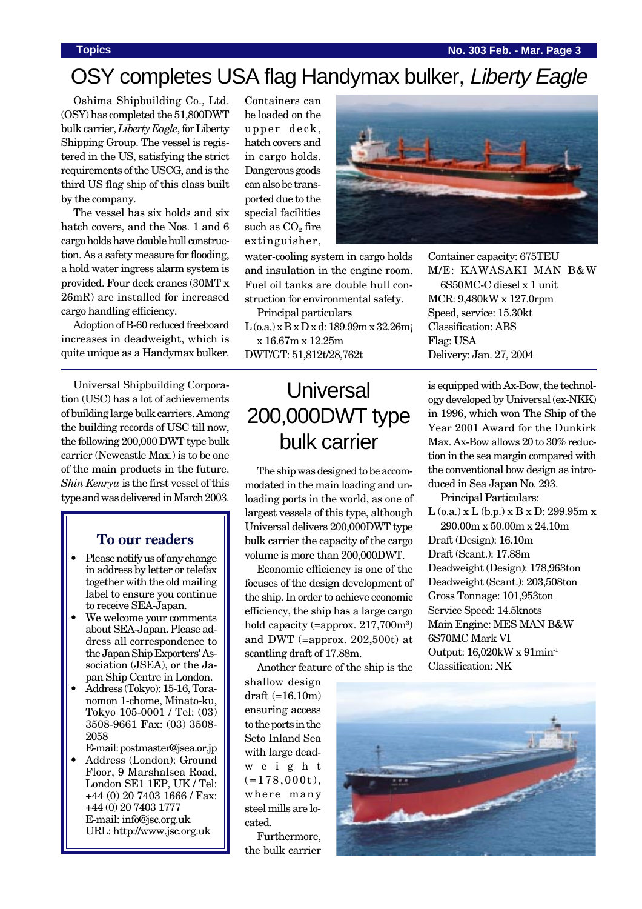### **Topics No. 303 Feb. - Mar. Page 3**

# OSY completes USA flag Handymax bulker, Liberty Eagle

Oshima Shipbuilding Co., Ltd. (OSY) has completed the 51,800DWT bulk carrier, *Liberty Eagle*, for Liberty Shipping Group. The vessel is registered in the US, satisfying the strict requirements of the USCG, and is the third US flag ship of this class built by the company.

The vessel has six holds and six hatch covers, and the Nos. 1 and 6 cargo holds have double hull construction. As a safety measure for flooding, a hold water ingress alarm system is provided. Four deck cranes (30MT x 26mR) are installed for increased cargo handling efficiency.

Adoption of B-60 reduced freeboard increases in deadweight, which is quite unique as a Handymax bulker.

Universal Shipbuilding Corporation (USC) has a lot of achievements of building large bulk carriers. Among the building records of USC till now, the following 200,000 DWT type bulk carrier (Newcastle Max.) is to be one of the main products in the future. *Shin Kenryu* is the first vessel of this type and was delivered in March 2003.

## **To our readers**

- Please notify us of any change in address by letter or telefax together with the old mailing label to ensure you continue to receive SEA-Japan.
- We welcome your comments about SEA-Japan. Please address all correspondence to the Japan Ship Exporters' Association (JSEA), or the Japan Ship Centre in London.
- Address (Tokyo): 15-16, Toranomon 1-chome, Minato-ku, Tokyo 105-0001 / Tel: (03) 3508-9661 Fax: (03) 3508- 2058

E-mail: postmaster@jsea.or.jp

• Address (London): Ground Floor, 9 Marshalsea Road, London SE1 1EP, UK / Tel: +44 (0) 20 7403 1666 / Fax: +44 (0) 20 7403 1777 E-mail: info@jsc.org.uk URL: http://www.jsc.org.uk

Containers can be loaded on the upper deck, hatch covers and in cargo holds. Dangerous goods can also be transported due to the special facilities such as  $CO<sub>2</sub>$  fire extinguisher,

water-cooling system in cargo holds and insulation in the engine room. Fuel oil tanks are double hull construction for environmental safety.

Principal particulars L (o.a.) x B x D x d: 189.99m x 32.26m¡ x 16.67m x 12.25m

DWT/GT: 51,812t/28,762t

# **Universal** 200,000DWT type bulk carrier

The ship was designed to be accommodated in the main loading and unloading ports in the world, as one of largest vessels of this type, although Universal delivers 200,000DWT type bulk carrier the capacity of the cargo volume is more than 200,000DWT.

Economic efficiency is one of the focuses of the design development of the ship. In order to achieve economic efficiency, the ship has a large cargo hold capacity (=approx. 217,700m<sup>3</sup>) and DWT (=approx. 202,500t) at scantling draft of 17.88m.

Another feature of the ship is the

shallow design draft (=16.10m) ensuring access to the ports in the Seto Inland Sea with large deadweight  $(=178,000t)$ , where many steel mills are located.

Furthermore, the bulk carrier



Container capacity: 675TEU M/E: KAWASAKI MAN B&W 6S50MC-C diesel x 1 unit MCR: 9,480kW x 127.0rpm Speed, service: 15.30kt Classification: ABS Flag: USA Delivery: Jan. 27, 2004

is equipped with Ax-Bow, the technology developed by Universal (ex-NKK) in 1996, which won The Ship of the Year 2001 Award for the Dunkirk Max. Ax-Bow allows 20 to 30% reduction in the sea margin compared with the conventional bow design as introduced in Sea Japan No. 293.

Principal Particulars:

 $L$  (o.a.) x  $L$  (b.p.) x  $B$  x  $D: 299.95m x$ 290.00m x 50.00m x 24.10m Draft (Design): 16.10m Draft (Scant.): 17.88m Deadweight (Design): 178,963ton Deadweight (Scant.): 203,508ton Gross Tonnage: 101,953ton Service Speed: 14.5knots Main Engine: MES MAN B&W 6S70MC Mark VI Output: 16,020kW x 91min-1 Classification: NK

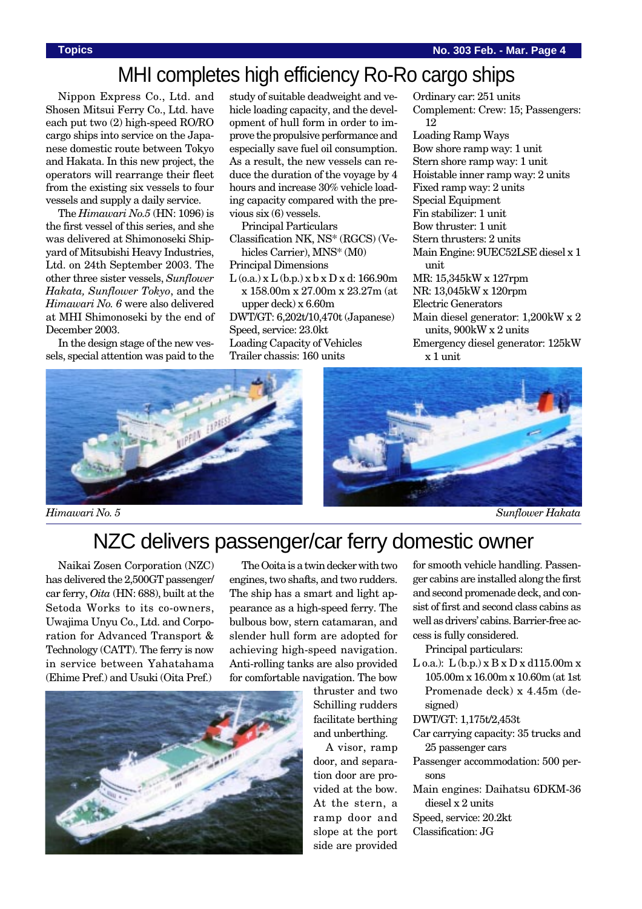## MHI completes high efficiency Ro-Ro cargo ships

Nippon Express Co., Ltd. and Shosen Mitsui Ferry Co., Ltd. have each put two (2) high-speed RO/RO cargo ships into service on the Japanese domestic route between Tokyo and Hakata. In this new project, the operators will rearrange their fleet from the existing six vessels to four vessels and supply a daily service.

The *Himawari No.5* (HN: 1096) is the first vessel of this series, and she was delivered at Shimonoseki Shipyard of Mitsubishi Heavy Industries, Ltd. on 24th September 2003. The other three sister vessels, *Sunflower Hakata, Sunflower Tokyo*, and the *Himawari No. 6* were also delivered at MHI Shimonoseki by the end of December 2003.

In the design stage of the new vessels, special attention was paid to the study of suitable deadweight and vehicle loading capacity, and the development of hull form in order to improve the propulsive performance and especially save fuel oil consumption. As a result, the new vessels can reduce the duration of the voyage by 4 hours and increase 30% vehicle loading capacity compared with the previous six (6) vessels.

Principal Particulars Classification NK, NS\* (RGCS) (Vehicles Carrier), MNS\* (M0) Principal Dimensions  $L$  (o.a.) x  $L$  (b.p.) x b x  $D$  x d: 166.90m x 158.00m x 27.00m x 23.27m (at upper deck) x 6.60m DWT/GT: 6,202t/10,470t (Japanese) Speed, service: 23.0kt Loading Capacity of Vehicles Trailer chassis: 160 units

Ordinary car: 251 units Complement: Crew: 15; Passengers: 12 Loading Ramp Ways Bow shore ramp way: 1 unit Stern shore ramp way: 1 unit Hoistable inner ramp way: 2 units Fixed ramp way: 2 units Special Equipment Fin stabilizer: 1 unit Bow thruster: 1 unit Stern thrusters: 2 units Main Engine: 9UEC52LSE diesel x 1 unit MR: 15,345kW x 127rpm NR: 13,045kW x 120rpm Electric Generators Main diesel generator: 1,200kW x 2 units, 900kW x 2 units Emergency diesel generator: 125kW x 1 unit



# NZC delivers passenger/car ferry domestic owner

Naikai Zosen Corporation (NZC) has delivered the 2,500GT passenger/ car ferry, *Oita* (HN: 688), built at the Setoda Works to its co-owners, Uwajima Unyu Co., Ltd. and Corporation for Advanced Transport & Technology (CATT). The ferry is now in service between Yahatahama (Ehime Pref.) and Usuki (Oita Pref.)

The Ooita is a twin decker with two engines, two shafts, and two rudders. The ship has a smart and light appearance as a high-speed ferry. The bulbous bow, stern catamaran, and slender hull form are adopted for achieving high-speed navigation. Anti-rolling tanks are also provided for comfortable navigation. The bow



A visor, ramp door, and separation door are provided at the bow. At the stern, a ramp door and slope at the port side are provided for smooth vehicle handling. Passenger cabins are installed along the first and second promenade deck, and consist of first and second class cabins as well as drivers' cabins. Barrier-free access is fully considered.

Principal particulars:

L o.a.):  $L$  (b.p.)  $x B x D x d115.00m x$ 105.00m x 16.00m x 10.60m (at 1st Promenade deck) x 4.45m (designed)

DWT/GT: 1,175t/2,453t

- Car carrying capacity: 35 trucks and 25 passenger cars
- Passenger accommodation: 500 persons
- Main engines: Daihatsu 6DKM-36 diesel x 2 units

Speed, service: 20.2kt

Classification: JG

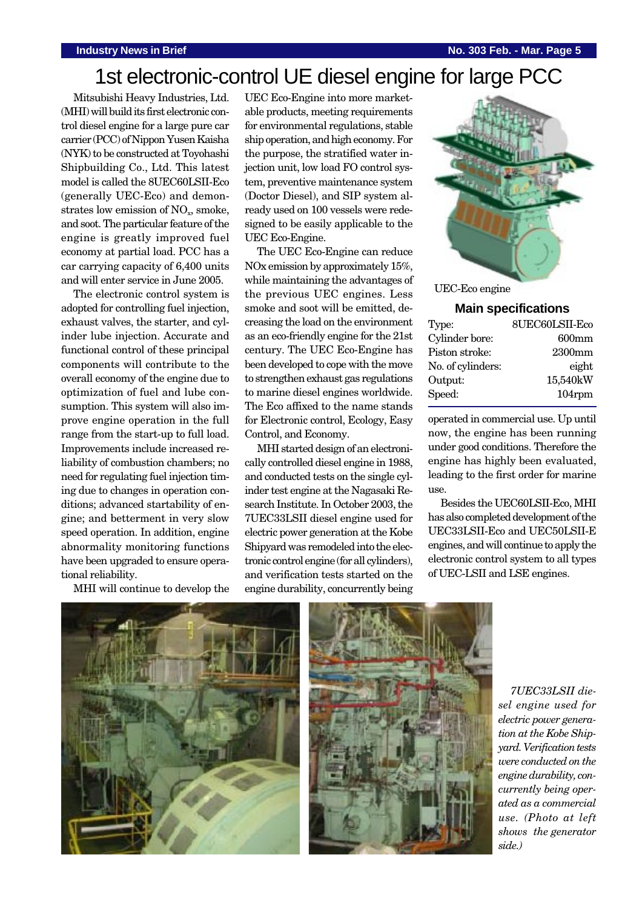# 1st electronic-control UE diesel engine for large PCC

Mitsubishi Heavy Industries, Ltd. (MHI) will build its first electronic control diesel engine for a large pure car carrier (PCC) of Nippon Yusen Kaisha (NYK) to be constructed at Toyohashi Shipbuilding Co., Ltd. This latest model is called the 8UEC60LSII-Eco (generally UEC-Eco) and demonstrates low emission of  $NO<sub>x</sub>$ , smoke, and soot. The particular feature of the engine is greatly improved fuel economy at partial load. PCC has a car carrying capacity of 6,400 units and will enter service in June 2005.

The electronic control system is adopted for controlling fuel injection, exhaust valves, the starter, and cylinder lube injection. Accurate and functional control of these principal components will contribute to the overall economy of the engine due to optimization of fuel and lube consumption. This system will also improve engine operation in the full range from the start-up to full load. Improvements include increased reliability of combustion chambers; no need for regulating fuel injection timing due to changes in operation conditions; advanced startability of engine; and betterment in very slow speed operation. In addition, engine abnormality monitoring functions have been upgraded to ensure operational reliability.

MHI will continue to develop the

UEC Eco-Engine into more marketable products, meeting requirements for environmental regulations, stable ship operation, and high economy. For the purpose, the stratified water injection unit, low load FO control system, preventive maintenance system (Doctor Diesel), and SIP system already used on 100 vessels were redesigned to be easily applicable to the UEC Eco-Engine.

The UEC Eco-Engine can reduce NOx emission by approximately 15%, while maintaining the advantages of the previous UEC engines. Less smoke and soot will be emitted, decreasing the load on the environment as an eco-friendly engine for the 21st century. The UEC Eco-Engine has been developed to cope with the move to strengthen exhaust gas regulations to marine diesel engines worldwide. The Eco affixed to the name stands for Electronic control, Ecology, Easy Control, and Economy.

MHI started design of an electronically controlled diesel engine in 1988, and conducted tests on the single cylinder test engine at the Nagasaki Research Institute. In October 2003, the 7UEC33LSII diesel engine used for electric power generation at the Kobe Shipyard was remodeled into the electronic control engine (for all cylinders), and verification tests started on the engine durability, concurrently being



UEC-Eco engine

### **Main specifications**

| Type:             | 8UEC60LSII-Eco |
|-------------------|----------------|
| Cylinder bore:    | $600$ mm       |
| Piston stroke:    | 2300mm         |
| No. of cylinders: | eight          |
| Output:           | 15,540kW       |
| Speed:            | 104rpm         |

operated in commercial use. Up until now, the engine has been running under good conditions. Therefore the engine has highly been evaluated, leading to the first order for marine use.

Besides the UEC60LSII-Eco, MHI has also completed development of the UEC33LSII-Eco and UEC50LSII-E engines, and will continue to apply the electronic control system to all types of UEC-LSII and LSE engines.





*7UEC33LSII diesel engine used for electric power generation at the Kobe Shipyard. Verification tests were conducted on the engine durability, concurrently being operated as a commercial use. (Photo at left shows the generator side.)*